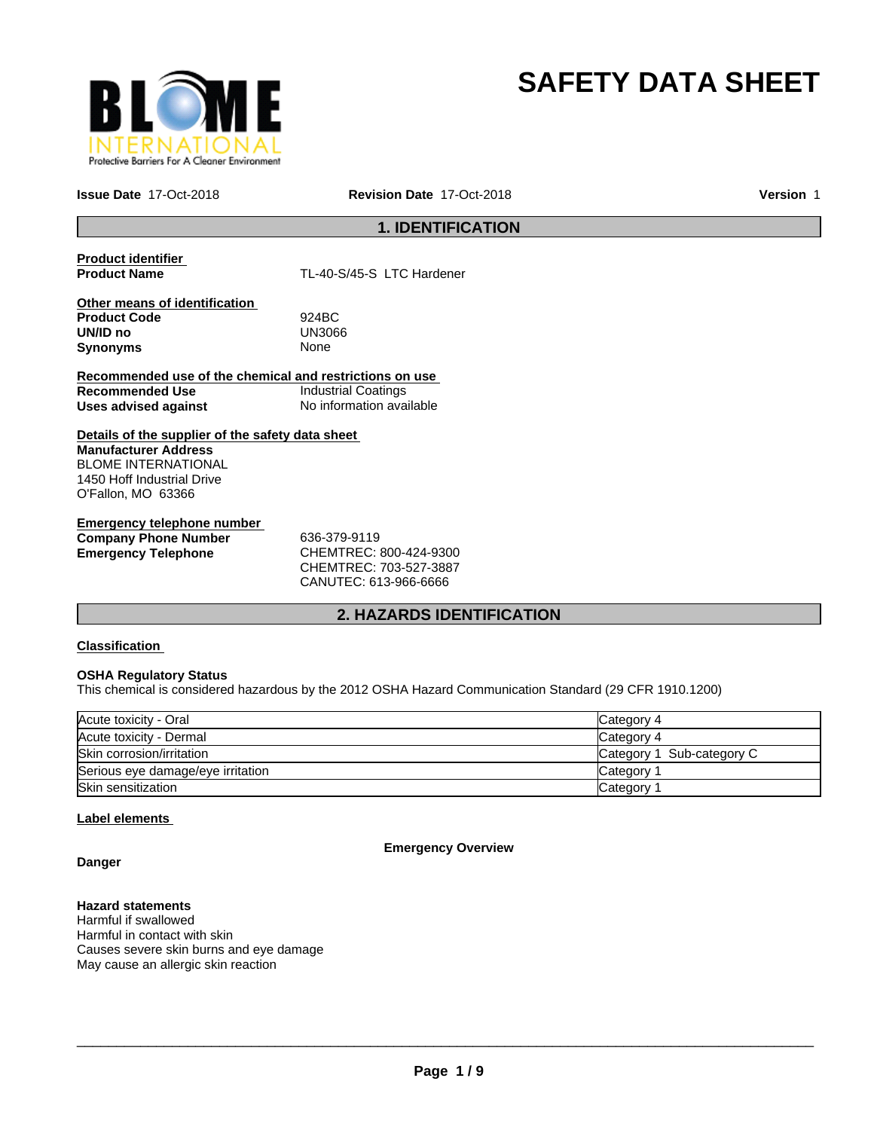

# **SAFETY DATA SHEET**

**Issue Date** 17-Oct-2018

**Revision Date** 17-Oct-2018 **Version** 1

### **1. IDENTIFICATION**

**Product identifier** 

TL-40-S/45-S LTC Hardener

**Other means of identification Product Code** 924BC **UN/ID no** UN30<br>**Synonyms** None **Synonyms** 

**Recommended use of the chemical and restrictions on use Recommended Use Industrial Coatings**<br> **Uses advised against Internation** No information available **Uses advised against** 

**Details of the supplier of the safety data sheet Manufacturer Address** BLOME INTERNATIONAL 1450 Hoff Industrial Drive O'Fallon, MO 63366

**Emergency telephone number Company Phone Number** 636-379-9119 **Emergency Telephone** CHEMTREC: 800-424-9300

CHEMTREC: 703-527-3887 CANUTEC: 613-966-6666

### **2. HAZARDS IDENTIFICATION**

#### **Classification**

#### **OSHA Regulatory Status**

This chemical is considered hazardous by the 2012 OSHA Hazard Communication Standard (29 CFR 1910.1200)

| Acute toxicity - Oral             | Category 4                   |
|-----------------------------------|------------------------------|
| Acute toxicity - Dermal           | Category 4                   |
| Skin corrosion/irritation         | Sub-category C<br>Category 1 |
| Serious eye damage/eye irritation | Category                     |
| Skin sensitization                | Category                     |

#### **Label elements**

**Emergency Overview**

**Danger**

#### **Hazard statements**

Harmful if swallowed Harmful in contact with skin Causes severe skin burns and eye damage May cause an allergic skin reaction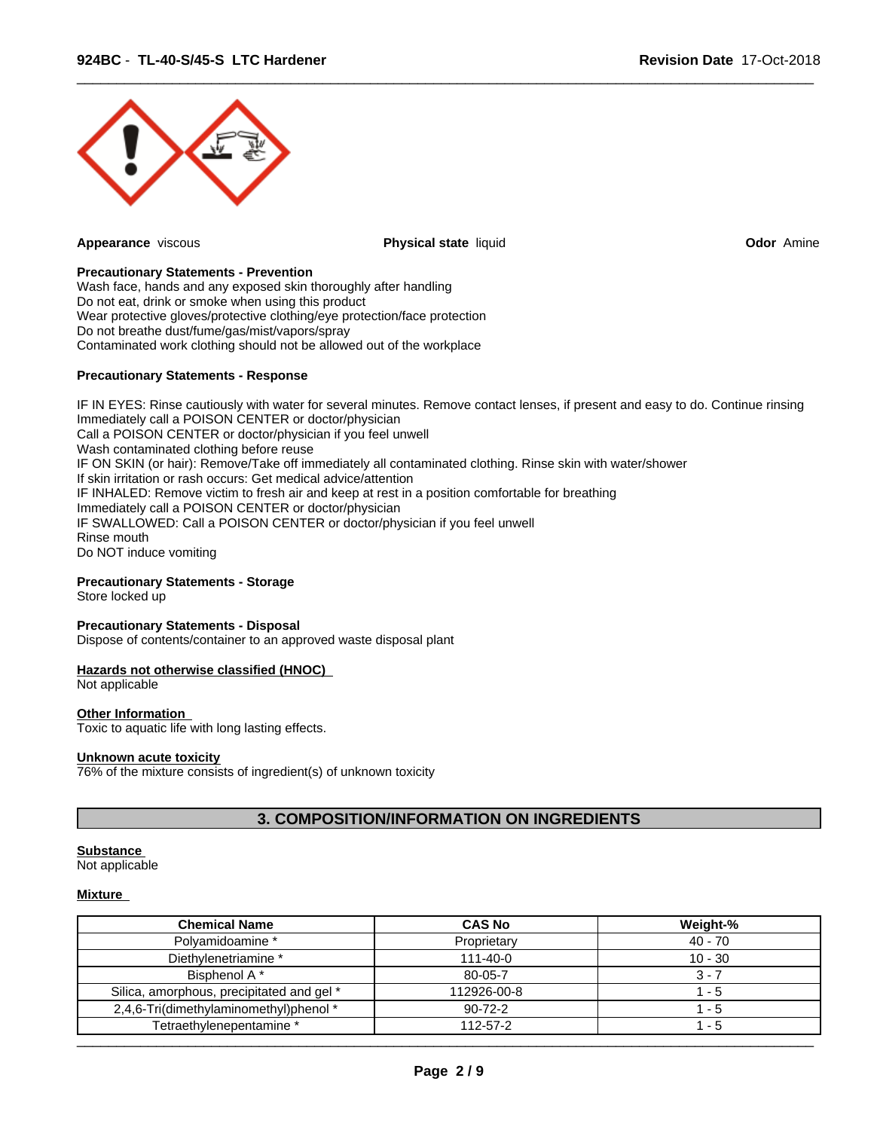

**Appearance** viscous **Physical state** liquid **Odor** Amine

 $\overline{\phantom{a}}$  ,  $\overline{\phantom{a}}$  ,  $\overline{\phantom{a}}$  ,  $\overline{\phantom{a}}$  ,  $\overline{\phantom{a}}$  ,  $\overline{\phantom{a}}$  ,  $\overline{\phantom{a}}$  ,  $\overline{\phantom{a}}$  ,  $\overline{\phantom{a}}$  ,  $\overline{\phantom{a}}$  ,  $\overline{\phantom{a}}$  ,  $\overline{\phantom{a}}$  ,  $\overline{\phantom{a}}$  ,  $\overline{\phantom{a}}$  ,  $\overline{\phantom{a}}$  ,  $\overline{\phantom{a}}$ 

#### **Precautionary Statements - Prevention**

Wash face, hands and any exposed skin thoroughly after handling Do not eat, drink or smoke when using this product Wear protective gloves/protective clothing/eye protection/face protection Do not breathe dust/fume/gas/mist/vapors/spray Contaminated work clothing should not be allowed out of the workplace

#### **Precautionary Statements - Response**

IF IN EYES: Rinse cautiously with water for several minutes. Remove contact lenses, if present and easy to do. Continue rinsing Immediately call a POISON CENTER or doctor/physician Call a POISON CENTER or doctor/physician if you feel unwell Wash contaminated clothing before reuse IF ON SKIN (or hair): Remove/Take off immediately all contaminated clothing. Rinse skin with water/shower If skin irritation or rash occurs: Get medical advice/attention IF INHALED: Remove victim to fresh air and keep at rest in a position comfortable for breathing Immediately call a POISON CENTER or doctor/physician IF SWALLOWED: Call a POISON CENTER or doctor/physician if you feel unwell Rinse mouth Do NOT induce vomiting

#### **Precautionary Statements - Storage**

Store locked up

#### **Precautionary Statements - Disposal**

Dispose of contents/container to an approved waste disposal plant

#### **Hazards not otherwise classified (HNOC)**

Not applicable

#### **Other Information**

Toxic to aquatic life with long lasting effects.

#### **Unknown acute toxicity**

76% of the mixture consists of ingredient(s) of unknown toxicity

#### **3. COMPOSITION/INFORMATION ON INGREDIENTS**

#### **Substance**

Not applicable

#### **Mixture**

| <b>Chemical Name</b>                      | <b>CAS No</b>  | Weight-%  |
|-------------------------------------------|----------------|-----------|
| Polyamidoamine *                          | Proprietary    | $40 - 70$ |
| Diethylenetriamine *                      | $111 - 40 - 0$ | $10 - 30$ |
| Bisphenol A*                              | 80-05-7        | $3 - 7$   |
| Silica, amorphous, precipitated and gel * | 112926-00-8    | - 5       |
| 2,4,6-Tri(dimethylaminomethyl)phenol *    | $90 - 72 - 2$  | - 5       |
| Tetraethylenepentamine *                  | 112-57-2       | - 5       |
|                                           |                |           |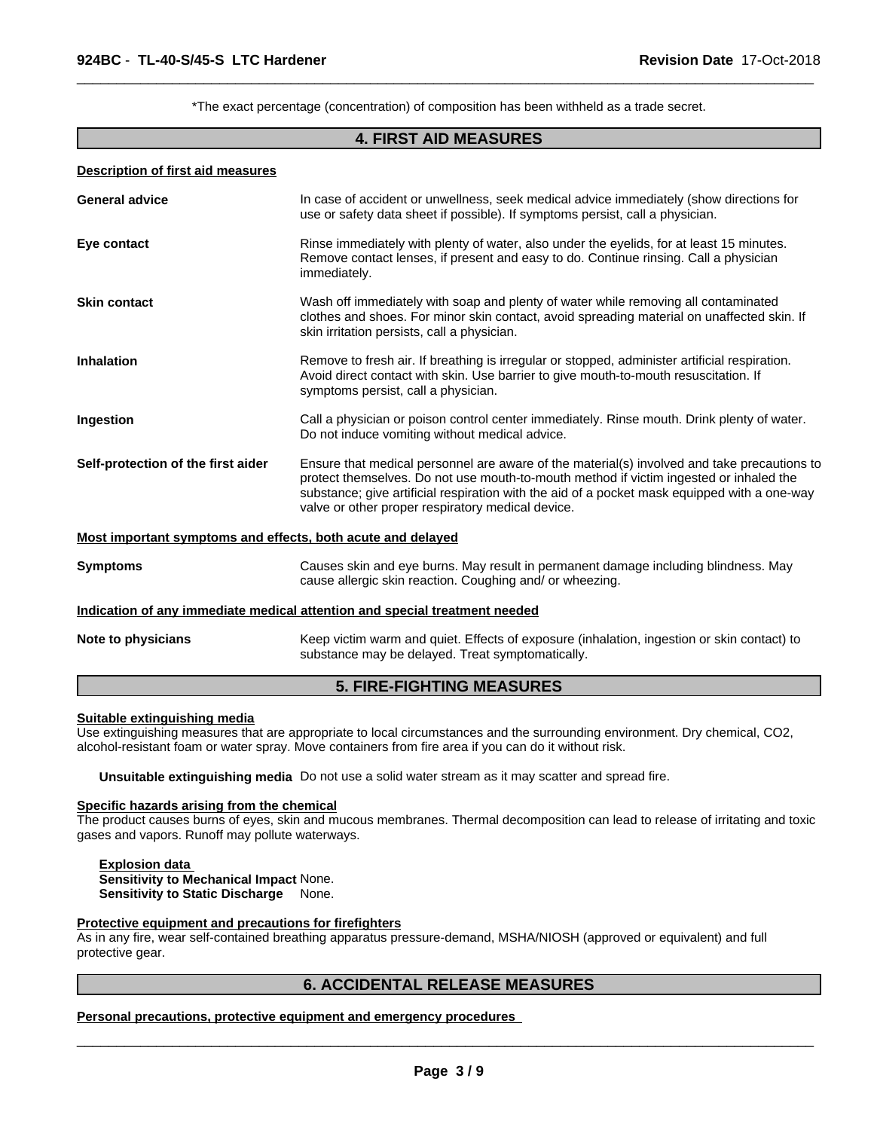\*The exact percentage (concentration) of composition has been withheld as a trade secret.

 $\overline{\phantom{a}}$  ,  $\overline{\phantom{a}}$  ,  $\overline{\phantom{a}}$  ,  $\overline{\phantom{a}}$  ,  $\overline{\phantom{a}}$  ,  $\overline{\phantom{a}}$  ,  $\overline{\phantom{a}}$  ,  $\overline{\phantom{a}}$  ,  $\overline{\phantom{a}}$  ,  $\overline{\phantom{a}}$  ,  $\overline{\phantom{a}}$  ,  $\overline{\phantom{a}}$  ,  $\overline{\phantom{a}}$  ,  $\overline{\phantom{a}}$  ,  $\overline{\phantom{a}}$  ,  $\overline{\phantom{a}}$ 

#### **4. FIRST AID MEASURES**

#### **Description of first aid measures**

| In case of accident or unwellness, seek medical advice immediately (show directions for<br><b>General advice</b><br>use or safety data sheet if possible). If symptoms persist, call a physician.<br>Rinse immediately with plenty of water, also under the eyelids, for at least 15 minutes.<br>Eye contact<br>Remove contact lenses, if present and easy to do. Continue rinsing. Call a physician<br>immediately.<br>Wash off immediately with soap and plenty of water while removing all contaminated<br><b>Skin contact</b><br>clothes and shoes. For minor skin contact, avoid spreading material on unaffected skin. If<br>skin irritation persists, call a physician.<br><b>Inhalation</b><br>Remove to fresh air. If breathing is irregular or stopped, administer artificial respiration.<br>Avoid direct contact with skin. Use barrier to give mouth-to-mouth resuscitation. If<br>symptoms persist, call a physician.<br>Call a physician or poison control center immediately. Rinse mouth. Drink plenty of water.<br>Ingestion |
|------------------------------------------------------------------------------------------------------------------------------------------------------------------------------------------------------------------------------------------------------------------------------------------------------------------------------------------------------------------------------------------------------------------------------------------------------------------------------------------------------------------------------------------------------------------------------------------------------------------------------------------------------------------------------------------------------------------------------------------------------------------------------------------------------------------------------------------------------------------------------------------------------------------------------------------------------------------------------------------------------------------------------------------------|
|                                                                                                                                                                                                                                                                                                                                                                                                                                                                                                                                                                                                                                                                                                                                                                                                                                                                                                                                                                                                                                                |
|                                                                                                                                                                                                                                                                                                                                                                                                                                                                                                                                                                                                                                                                                                                                                                                                                                                                                                                                                                                                                                                |
|                                                                                                                                                                                                                                                                                                                                                                                                                                                                                                                                                                                                                                                                                                                                                                                                                                                                                                                                                                                                                                                |
|                                                                                                                                                                                                                                                                                                                                                                                                                                                                                                                                                                                                                                                                                                                                                                                                                                                                                                                                                                                                                                                |
| Do not induce vomiting without medical advice.                                                                                                                                                                                                                                                                                                                                                                                                                                                                                                                                                                                                                                                                                                                                                                                                                                                                                                                                                                                                 |
| Self-protection of the first aider<br>Ensure that medical personnel are aware of the material(s) involved and take precautions to<br>protect themselves. Do not use mouth-to-mouth method if victim ingested or inhaled the<br>substance; give artificial respiration with the aid of a pocket mask equipped with a one-way<br>valve or other proper respiratory medical device.                                                                                                                                                                                                                                                                                                                                                                                                                                                                                                                                                                                                                                                               |
| Most important symptoms and effects, both acute and delayed                                                                                                                                                                                                                                                                                                                                                                                                                                                                                                                                                                                                                                                                                                                                                                                                                                                                                                                                                                                    |
| Causes skin and eye burns. May result in permanent damage including blindness. May<br><b>Symptoms</b><br>cause allergic skin reaction. Coughing and/ or wheezing.                                                                                                                                                                                                                                                                                                                                                                                                                                                                                                                                                                                                                                                                                                                                                                                                                                                                              |
| Indication of any immediate medical attention and special treatment needed                                                                                                                                                                                                                                                                                                                                                                                                                                                                                                                                                                                                                                                                                                                                                                                                                                                                                                                                                                     |
| Keep victim warm and quiet. Effects of exposure (inhalation, ingestion or skin contact) to<br>Note to physicians<br>substance may be delayed. Treat symptomatically.                                                                                                                                                                                                                                                                                                                                                                                                                                                                                                                                                                                                                                                                                                                                                                                                                                                                           |

#### **5. FIRE-FIGHTING MEASURES**

#### **Suitable extinguishing media**

Use extinguishing measures that are appropriate to local circumstances and the surrounding environment. Dry chemical, CO2, alcohol-resistant foam or water spray. Move containers from fire area if you can do it without risk.

**Unsuitable extinguishing media** Do not use a solid water stream as it may scatter and spread fire.

## **Specific hazards arising from the chemical**

The product causes burns of eyes, skin and mucous membranes. Thermal decomposition can lead to release of irritating and toxic gases and vapors. Runoff may pollute waterways.

**Explosion data Sensitivity to Mechanical Impact** None. **Sensitivity to Static Discharge** None.

#### **Protective equipment and precautions for firefighters**

As in any fire, wear self-contained breathing apparatus pressure-demand, MSHA/NIOSH (approved or equivalent) and full protective gear.

#### **6. ACCIDENTAL RELEASE MEASURES**

**Personal precautions, protective equipment and emergency procedures**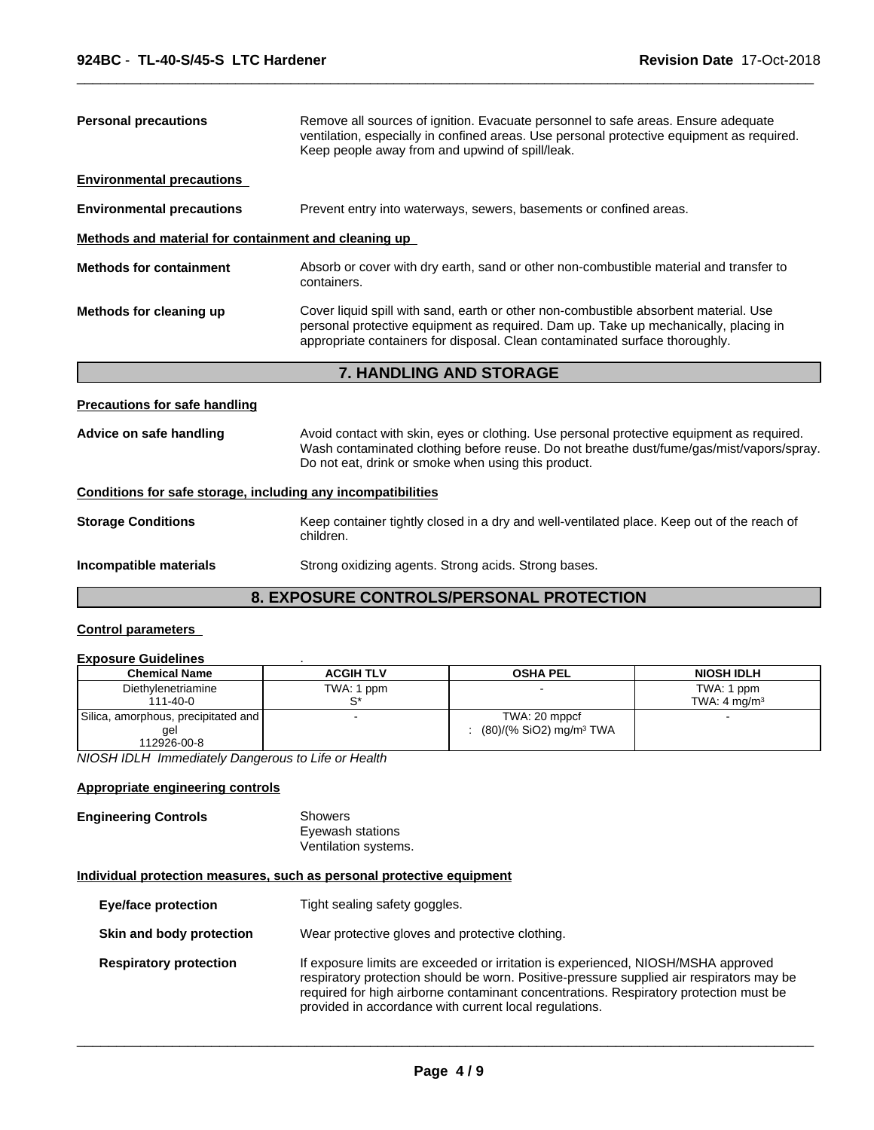| <b>Personal precautions</b>                                  | Remove all sources of ignition. Evacuate personnel to safe areas. Ensure adequate<br>ventilation, especially in confined areas. Use personal protective equipment as required.<br>Keep people away from and upwind of spill/leak.                          |
|--------------------------------------------------------------|------------------------------------------------------------------------------------------------------------------------------------------------------------------------------------------------------------------------------------------------------------|
| <b>Environmental precautions</b>                             |                                                                                                                                                                                                                                                            |
| <b>Environmental precautions</b>                             | Prevent entry into waterways, sewers, basements or confined areas.                                                                                                                                                                                         |
| Methods and material for containment and cleaning up         |                                                                                                                                                                                                                                                            |
| <b>Methods for containment</b>                               | Absorb or cover with dry earth, sand or other non-combustible material and transfer to<br>containers.                                                                                                                                                      |
| Methods for cleaning up                                      | Cover liquid spill with sand, earth or other non-combustible absorbent material. Use<br>personal protective equipment as required. Dam up. Take up mechanically, placing in<br>appropriate containers for disposal. Clean contaminated surface thoroughly. |
|                                                              |                                                                                                                                                                                                                                                            |
|                                                              | 7. HANDLING AND STORAGE                                                                                                                                                                                                                                    |
| <b>Precautions for safe handling</b>                         |                                                                                                                                                                                                                                                            |
| Advice on safe handling                                      | Avoid contact with skin, eyes or clothing. Use personal protective equipment as required.<br>Wash contaminated clothing before reuse. Do not breathe dust/fume/gas/mist/vapors/spray.<br>Do not eat, drink or smoke when using this product.               |
| Conditions for safe storage, including any incompatibilities |                                                                                                                                                                                                                                                            |
| <b>Storage Conditions</b>                                    | Keep container tightly closed in a dry and well-ventilated place. Keep out of the reach of<br>children.                                                                                                                                                    |

 $\overline{\phantom{a}}$  ,  $\overline{\phantom{a}}$  ,  $\overline{\phantom{a}}$  ,  $\overline{\phantom{a}}$  ,  $\overline{\phantom{a}}$  ,  $\overline{\phantom{a}}$  ,  $\overline{\phantom{a}}$  ,  $\overline{\phantom{a}}$  ,  $\overline{\phantom{a}}$  ,  $\overline{\phantom{a}}$  ,  $\overline{\phantom{a}}$  ,  $\overline{\phantom{a}}$  ,  $\overline{\phantom{a}}$  ,  $\overline{\phantom{a}}$  ,  $\overline{\phantom{a}}$  ,  $\overline{\phantom{a}}$ 

### **8. EXPOSURE CONTROLS/PERSONAL PROTECTION**

### **Control parameters**

#### **Exposure Guidelines** .

| <b>Chemical Name</b>                | <b>ACGIH TLV</b> | <b>OSHA PEL</b>                     | <b>NIOSH IDLH</b>       |
|-------------------------------------|------------------|-------------------------------------|-------------------------|
| Diethylenetriamine                  | TWA: 1 ppm       |                                     | TWA: 1 ppm              |
| 111-40-0                            |                  |                                     | TWA: $4 \text{ ma/m}^3$ |
| Silica, amorphous, precipitated and |                  | TWA: 20 mppcf                       |                         |
| gel                                 |                  | (80)/(% SiO2) mg/m <sup>3</sup> TWA |                         |
| 112926-00-8                         |                  |                                     |                         |

*NIOSH IDLH Immediately Dangerous to Life or Health*

#### **Appropriate engineering controls**

#### **Engineering Controls** Showers Eyewash stations Ventilation systems.

#### **Individual protection measures, such as personal protective equipment**

| <b>Eye/face protection</b>    | Tight sealing safety goggles.                                                                                                                                                                                                                                                                                                    |
|-------------------------------|----------------------------------------------------------------------------------------------------------------------------------------------------------------------------------------------------------------------------------------------------------------------------------------------------------------------------------|
| Skin and body protection      | Wear protective gloves and protective clothing.                                                                                                                                                                                                                                                                                  |
| <b>Respiratory protection</b> | If exposure limits are exceeded or irritation is experienced, NIOSH/MSHA approved<br>respiratory protection should be worn. Positive-pressure supplied air respirators may be<br>required for high airborne contaminant concentrations. Respiratory protection must be<br>provided in accordance with current local regulations. |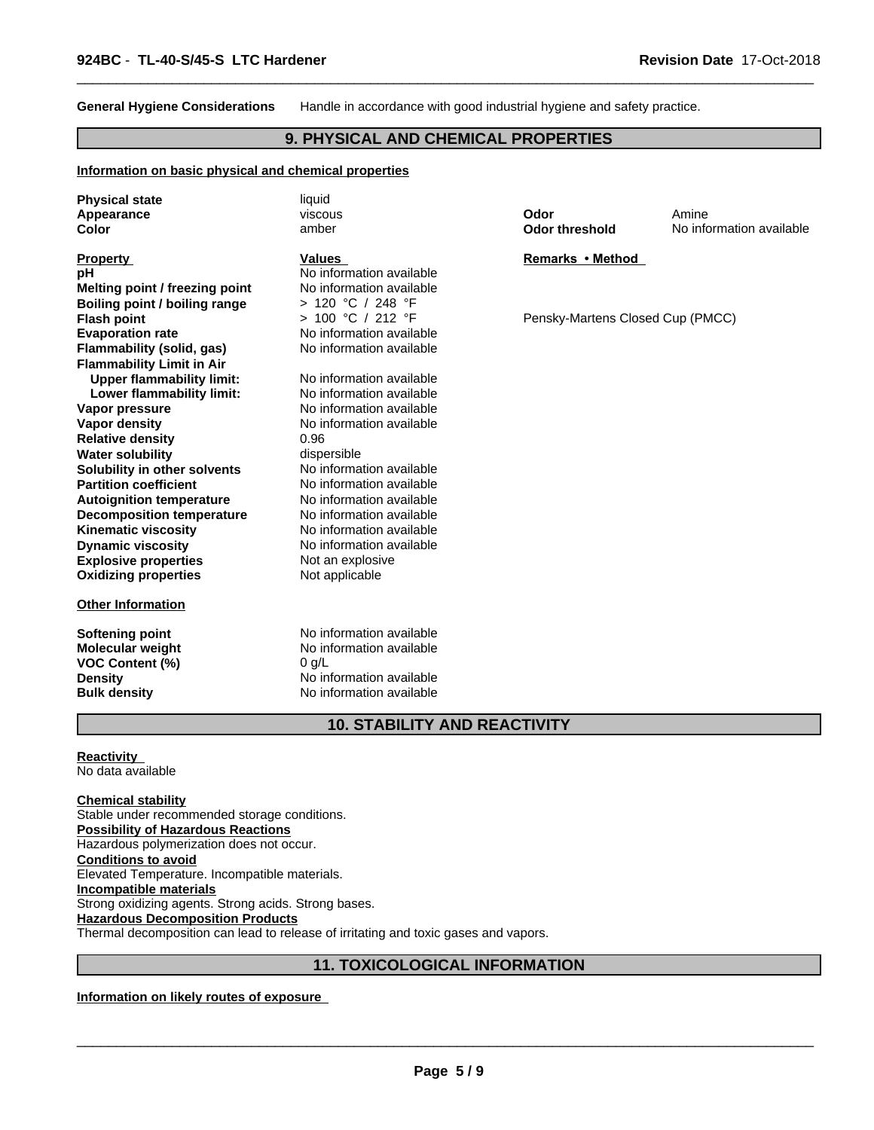**General Hygiene Considerations** Handle in accordance with good industrial hygiene and safety practice.

 $\overline{\phantom{a}}$  ,  $\overline{\phantom{a}}$  ,  $\overline{\phantom{a}}$  ,  $\overline{\phantom{a}}$  ,  $\overline{\phantom{a}}$  ,  $\overline{\phantom{a}}$  ,  $\overline{\phantom{a}}$  ,  $\overline{\phantom{a}}$  ,  $\overline{\phantom{a}}$  ,  $\overline{\phantom{a}}$  ,  $\overline{\phantom{a}}$  ,  $\overline{\phantom{a}}$  ,  $\overline{\phantom{a}}$  ,  $\overline{\phantom{a}}$  ,  $\overline{\phantom{a}}$  ,  $\overline{\phantom{a}}$ 

#### **9. PHYSICAL AND CHEMICAL PROPERTIES**

#### **Information on basic physical and chemical properties**

| <b>Physical state</b>                | liquid                   |                                  |                          |
|--------------------------------------|--------------------------|----------------------------------|--------------------------|
| Appearance                           | viscous                  | Odor                             | Amine                    |
| Color                                | amber                    | <b>Odor threshold</b>            | No information available |
| <b>Property</b>                      | <b>Values</b>            | Remarks • Method                 |                          |
| pH                                   | No information available |                                  |                          |
| Melting point / freezing point       | No information available |                                  |                          |
| <b>Boiling point / boiling range</b> | > 120 °C / 248 °F        |                                  |                          |
| <b>Flash point</b>                   | > 100 °C / 212 °F        | Pensky-Martens Closed Cup (PMCC) |                          |
| <b>Evaporation rate</b>              | No information available |                                  |                          |
| <b>Flammability (solid, gas)</b>     | No information available |                                  |                          |
| <b>Flammability Limit in Air</b>     |                          |                                  |                          |
| <b>Upper flammability limit:</b>     | No information available |                                  |                          |
| Lower flammability limit:            | No information available |                                  |                          |
| Vapor pressure                       | No information available |                                  |                          |
| Vapor density                        | No information available |                                  |                          |
| <b>Relative density</b>              | 0.96                     |                                  |                          |
| <b>Water solubility</b>              | dispersible              |                                  |                          |
| Solubility in other solvents         | No information available |                                  |                          |
| <b>Partition coefficient</b>         | No information available |                                  |                          |
| <b>Autoignition temperature</b>      | No information available |                                  |                          |
| <b>Decomposition temperature</b>     | No information available |                                  |                          |
| <b>Kinematic viscosity</b>           | No information available |                                  |                          |
| <b>Dynamic viscosity</b>             | No information available |                                  |                          |
| <b>Explosive properties</b>          | Not an explosive         |                                  |                          |
| <b>Oxidizing properties</b>          | Not applicable           |                                  |                          |
| <b>Other Information</b>             |                          |                                  |                          |
| <b>Softening point</b>               | No information available |                                  |                          |
| <b>Molecular weight</b>              | No information available |                                  |                          |
| <b>VOC Content (%)</b>               | $0$ g/L                  |                                  |                          |
| <b>Density</b>                       | No information available |                                  |                          |
| <b>Bulk density</b>                  | No information available |                                  |                          |

### **10. STABILITY AND REACTIVITY**

#### **Reactivity**  No data available

**Chemical stability** Stable under recommended storage conditions. **Possibility of Hazardous Reactions** Hazardous polymerization does not occur. **Conditions to avoid** Elevated Temperature. Incompatible materials. **Incompatible materials** Strong oxidizing agents. Strong acids. Strong bases. **Hazardous Decomposition Products** Thermal decomposition can lead to release of irritating and toxic gases and vapors.

### **11. TOXICOLOGICAL INFORMATION**

### **Information on likely routes of exposure**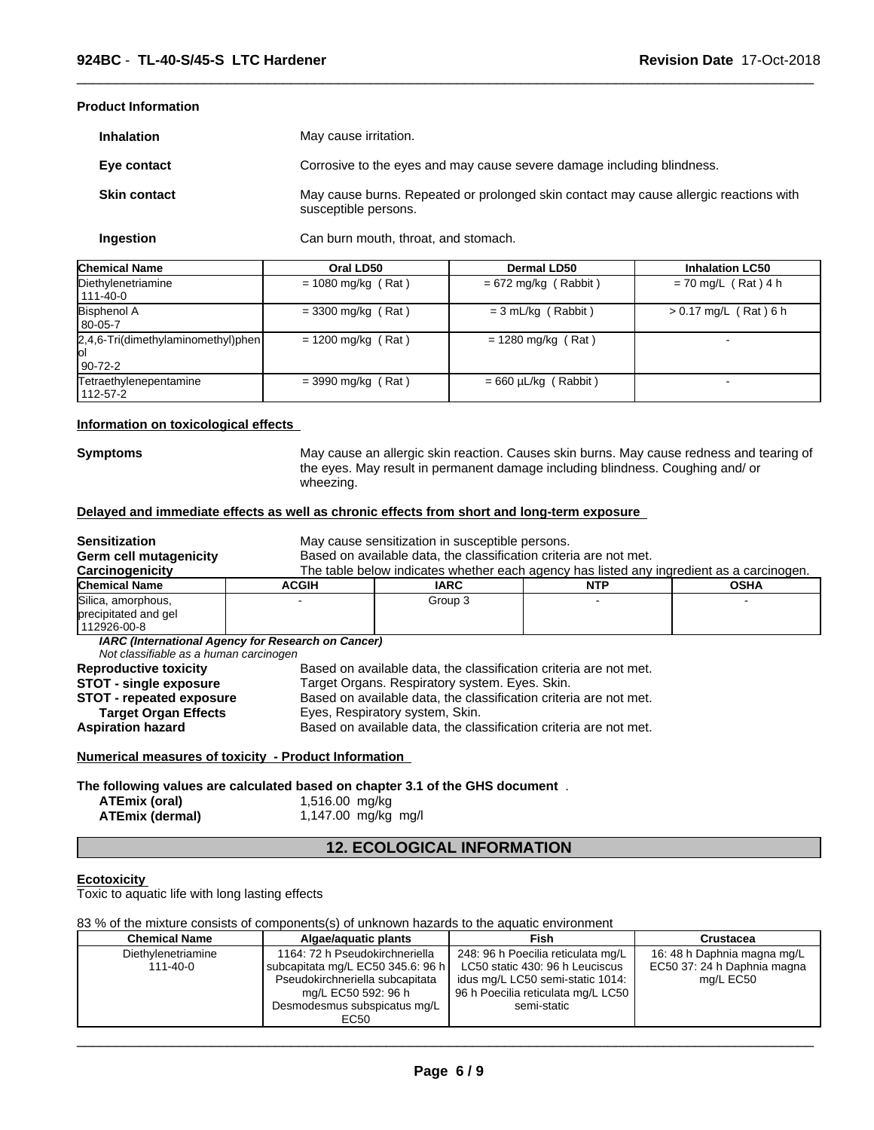#### **Product Information**

| <b>Inhalation</b>   | May cause irritation.                                                                                         |
|---------------------|---------------------------------------------------------------------------------------------------------------|
| Eye contact         | Corrosive to the eyes and may cause severe damage including blindness.                                        |
| <b>Skin contact</b> | May cause burns. Repeated or prolonged skin contact may cause allergic reactions with<br>susceptible persons. |

 $\overline{\phantom{a}}$  ,  $\overline{\phantom{a}}$  ,  $\overline{\phantom{a}}$  ,  $\overline{\phantom{a}}$  ,  $\overline{\phantom{a}}$  ,  $\overline{\phantom{a}}$  ,  $\overline{\phantom{a}}$  ,  $\overline{\phantom{a}}$  ,  $\overline{\phantom{a}}$  ,  $\overline{\phantom{a}}$  ,  $\overline{\phantom{a}}$  ,  $\overline{\phantom{a}}$  ,  $\overline{\phantom{a}}$  ,  $\overline{\phantom{a}}$  ,  $\overline{\phantom{a}}$  ,  $\overline{\phantom{a}}$ 

**Ingestion** Can burn mouth, throat, and stomach.

| <b>Chemical Name</b>                                     | Oral LD50            | <b>Dermal LD50</b>        | <b>Inhalation LC50</b>  |
|----------------------------------------------------------|----------------------|---------------------------|-------------------------|
| Diethylenetriamine<br>111-40-0                           | $= 1080$ mg/kg (Rat) | $= 672$ mg/kg (Rabbit)    | $= 70$ mg/L (Rat) 4 h   |
| <b>Bisphenol A</b><br>l 80-05-7                          | $=$ 3300 mg/kg (Rat) | $= 3$ mL/kg (Rabbit)      | $> 0.17$ mg/L (Rat) 6 h |
| $[2,4,6$ -Tri(dimethylaminomethyl)phen<br>lol<br>90-72-2 | $= 1200$ mg/kg (Rat) | $= 1280$ mg/kg (Rat)      |                         |
| Tetraethylenepentamine<br>112-57-2                       | $=$ 3990 mg/kg (Rat) | $= 660 \mu L/kg$ (Rabbit) |                         |

#### **Information on toxicological effects**

**Symptoms** May cause an allergic skin reaction. Causes skin burns. May cause redness and tearing of the eyes. May result in permanent damage including blindness. Coughing and/ or wheezing.

#### **Delayed and immediate effects as well as chronic effects from short and long-term exposure**

| Sensitization                                             | May cause sensitization in susceptible persons.                                          |         |            |             |
|-----------------------------------------------------------|------------------------------------------------------------------------------------------|---------|------------|-------------|
| Germ cell mutagenicity                                    | Based on available data, the classification criteria are not met.                        |         |            |             |
| Carcinogenicity                                           | The table below indicates whether each agency has listed any ingredient as a carcinogen. |         |            |             |
| <b>Chemical Name</b>                                      | <b>ACGIH</b>                                                                             | IARC    | <b>NTP</b> | <b>OSHA</b> |
| Silica, amorphous,<br>precipitated and gel<br>112926-00-8 |                                                                                          | Group 3 |            |             |
| Not classifiable as a human carcinogen                    | IARC (International Agency for Research on Cancer)                                       |         |            |             |

| <b>Reproductive toxicity</b>    | Based on available data, the classification criteria are not met. |
|---------------------------------|-------------------------------------------------------------------|
| <b>STOT - single exposure</b>   | Target Organs. Respiratory system. Eyes. Skin.                    |
| <b>STOT - repeated exposure</b> | Based on available data, the classification criteria are not met. |
| <b>Target Organ Effects</b>     | Eyes, Respiratory system, Skin.                                   |
| <b>Aspiration hazard</b>        | Based on available data, the classification criteria are not met. |

#### **Numerical measures of toxicity - Product Information**

**The following values are calculated based on chapter 3.1 of the GHS document** .

| ATEmix (oral)          | 1,516.00 mg/kg      |
|------------------------|---------------------|
| <b>ATEmix (dermal)</b> | 1,147.00 mg/kg mg/l |

#### **12. ECOLOGICAL INFORMATION**

#### **Ecotoxicity**

Toxic to aquatic life with long lasting effects

#### 83 % of the mixture consists of components(s) of unknown hazards to the aquatic environment

| <b>Chemical Name</b> | Algae/aguatic plants              | Fish                               | <b>Crustacea</b>            |
|----------------------|-----------------------------------|------------------------------------|-----------------------------|
| Diethylenetriamine   | 1164: 72 h Pseudokirchneriella    | 248: 96 h Poecilia reticulata mg/L | 16: 48 h Daphnia magna mg/L |
| $111 - 40 - 0$       | subcapitata mg/L EC50 345.6: 96 h | LC50 static 430: 96 h Leuciscus    | EC50 37: 24 h Daphnia magna |
|                      | Pseudokirchneriella subcapitata   | idus mg/L LC50 semi-static 1014:   | mg/L EC50                   |
|                      | mg/L EC50 592: 96 h               | 96 h Poecilia reticulata mg/L LC50 |                             |
|                      | Desmodesmus subspicatus mg/L      | semi-static                        |                             |
|                      | EC50                              |                                    |                             |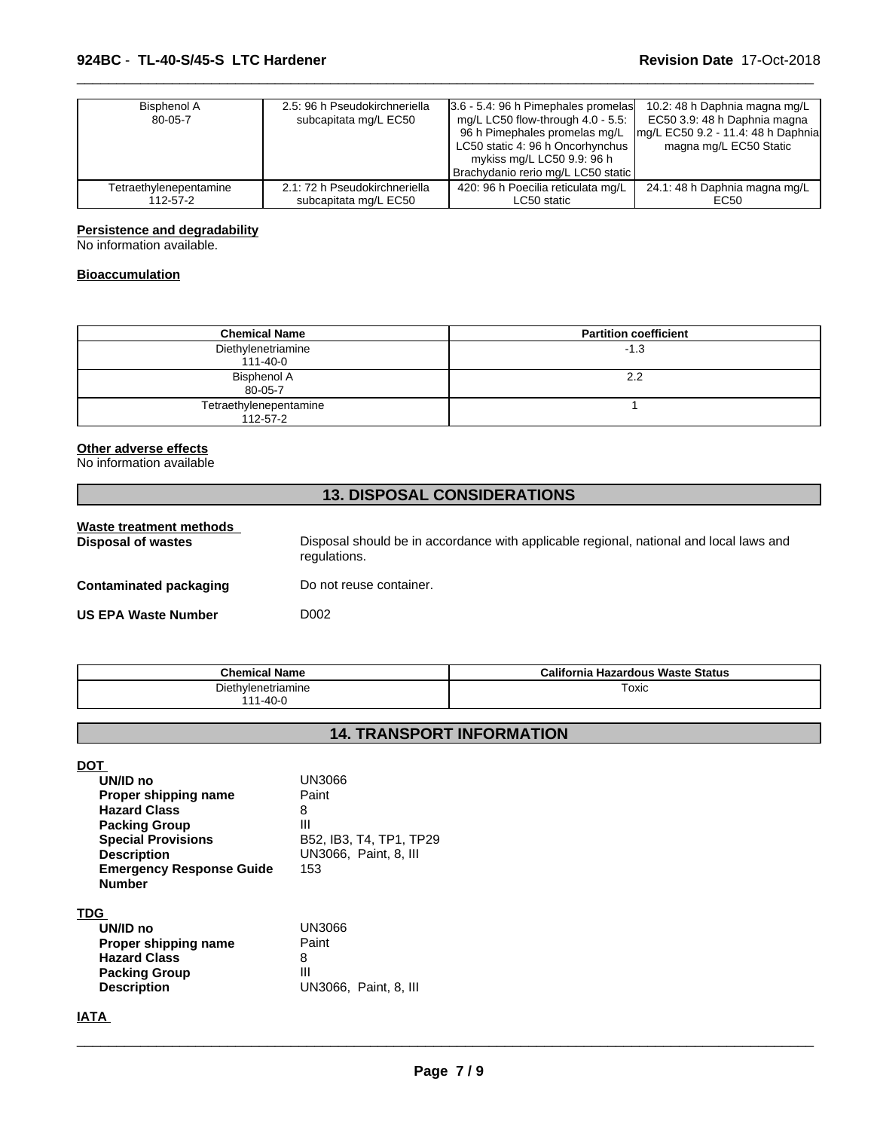| Bisphenol A<br>80-05-7 | 2.5: 96 h Pseudokirchneriella<br>subcapitata mg/L EC50 | 3.6 - 5.4: 96 h Pimephales promelas<br>mg/L LC50 flow-through $4.0 - 5.5$ :<br>96 h Pimephales promelas mg/L<br>LC50 static 4: 96 h Oncorhynchus<br>mykiss mg/L LC50 9.9: 96 h<br>Brachydanio rerio mg/L LC50 static | 10.2: 48 h Daphnia magna mg/L<br>EC50 3.9: 48 h Daphnia magna<br>mg/L EC50 9.2 - 11.4: 48 h Daphnia<br>magna mg/L EC50 Static |
|------------------------|--------------------------------------------------------|----------------------------------------------------------------------------------------------------------------------------------------------------------------------------------------------------------------------|-------------------------------------------------------------------------------------------------------------------------------|
| Tetraethylenepentamine | 2.1: 72 h Pseudokirchneriella                          | 420: 96 h Poecilia reticulata mg/L                                                                                                                                                                                   | 24.1: 48 h Daphnia magna mg/L                                                                                                 |
| 112-57-2               | subcapitata mg/L EC50                                  | LC50 static                                                                                                                                                                                                          | EC50                                                                                                                          |

 $\overline{\phantom{a}}$  ,  $\overline{\phantom{a}}$  ,  $\overline{\phantom{a}}$  ,  $\overline{\phantom{a}}$  ,  $\overline{\phantom{a}}$  ,  $\overline{\phantom{a}}$  ,  $\overline{\phantom{a}}$  ,  $\overline{\phantom{a}}$  ,  $\overline{\phantom{a}}$  ,  $\overline{\phantom{a}}$  ,  $\overline{\phantom{a}}$  ,  $\overline{\phantom{a}}$  ,  $\overline{\phantom{a}}$  ,  $\overline{\phantom{a}}$  ,  $\overline{\phantom{a}}$  ,  $\overline{\phantom{a}}$ 

#### **Persistence and degradability**

No information available.

#### **Bioaccumulation**

| <b>Chemical Name</b>                 | <b>Partition coefficient</b> |
|--------------------------------------|------------------------------|
| Diethylenetriamine<br>$111 - 40 - 0$ | $-1.3$                       |
| Bisphenol A                          | 2.2                          |
| 80-05-7                              |                              |
| Tetraethylenepentamine               |                              |
| 112-57-2                             |                              |

#### **Other adverse effects**

No information available

### **13. DISPOSAL CONSIDERATIONS**

| Waste treatment methods<br>Disposal of wastes | Disposal should be in accordance with applicable regional, national and local laws and<br>regulations. |
|-----------------------------------------------|--------------------------------------------------------------------------------------------------------|
| <b>Contaminated packaging</b>                 | Do not reuse container.                                                                                |
| <b>US EPA Waste Number</b>                    | D002                                                                                                   |

| <b>Chemical Name</b>                | California<br><b>Hazardous Waste Status</b> |
|-------------------------------------|---------------------------------------------|
| Diethylenetriamine<br>144<br>1-40-0 | Toxic                                       |
|                                     |                                             |

## **14. TRANSPORT INFORMATION**

**DOT** 

| UN/ID no                        | UN3066                  |
|---------------------------------|-------------------------|
| Proper shipping name            | Paint                   |
| <b>Hazard Class</b>             | 8                       |
| <b>Packing Group</b>            | Ш                       |
| <b>Special Provisions</b>       | B52, IB3, T4, TP1, TP29 |
| <b>Description</b>              | UN3066, Paint, 8, III   |
| <b>Emergency Response Guide</b> | 153                     |
| <b>Number</b>                   |                         |
| <b>TDG</b>                      |                         |
| UN/ID no                        | UN3066                  |
| Proper shipping name            | Paint                   |
| <b>Hazard Class</b>             | 8                       |
| <b>Packing Group</b>            | Ш                       |

**IATA** 

**Packing Group**<br>Description

 $\overline{\phantom{a}}$  ,  $\overline{\phantom{a}}$  ,  $\overline{\phantom{a}}$  ,  $\overline{\phantom{a}}$  ,  $\overline{\phantom{a}}$  ,  $\overline{\phantom{a}}$  ,  $\overline{\phantom{a}}$  ,  $\overline{\phantom{a}}$  ,  $\overline{\phantom{a}}$  ,  $\overline{\phantom{a}}$  ,  $\overline{\phantom{a}}$  ,  $\overline{\phantom{a}}$  ,  $\overline{\phantom{a}}$  ,  $\overline{\phantom{a}}$  ,  $\overline{\phantom{a}}$  ,  $\overline{\phantom{a}}$ 

**Description** UN3066, Paint, 8, III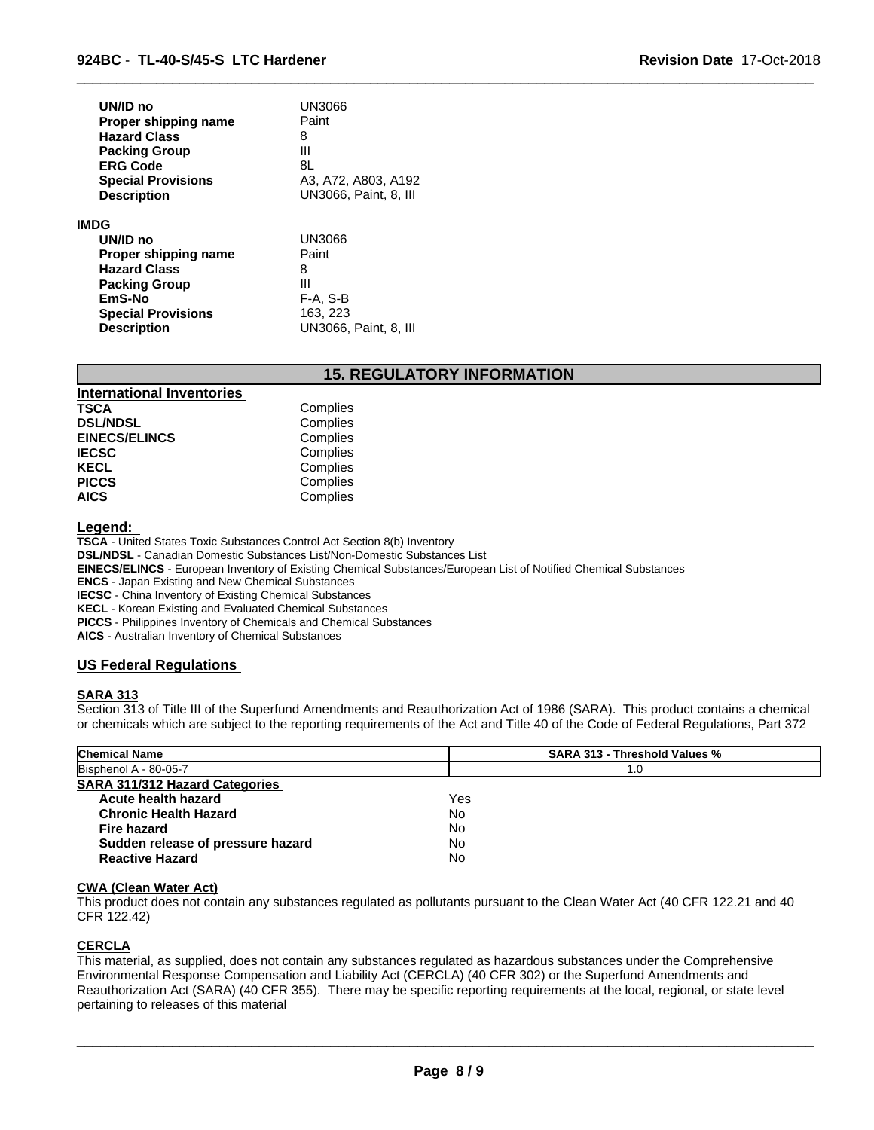| UN/ID no                  | UN3066                       |
|---------------------------|------------------------------|
| Proper shipping name      | Paint                        |
| <b>Hazard Class</b>       | 8                            |
| <b>Packing Group</b>      | Ш                            |
| <b>ERG Code</b>           | 8L                           |
| <b>Special Provisions</b> | A3, A72, A803, A192          |
| <b>Description</b>        | <b>UN3066, Paint, 8, III</b> |
| <b>IMDG</b>               |                              |
| UN/ID no                  | UN3066                       |
| Proper shipping name      | Paint                        |
| <b>Hazard Class</b>       | 8                            |
| <b>Packing Group</b>      | Ш                            |
| EmS-No                    | F-A, S-B                     |
| <b>Special Provisions</b> | 163, 223                     |
| <b>Description</b>        | UN3066, Paint, 8, III        |

#### **15. REGULATORY INFORMATION**

 $\overline{\phantom{a}}$  ,  $\overline{\phantom{a}}$  ,  $\overline{\phantom{a}}$  ,  $\overline{\phantom{a}}$  ,  $\overline{\phantom{a}}$  ,  $\overline{\phantom{a}}$  ,  $\overline{\phantom{a}}$  ,  $\overline{\phantom{a}}$  ,  $\overline{\phantom{a}}$  ,  $\overline{\phantom{a}}$  ,  $\overline{\phantom{a}}$  ,  $\overline{\phantom{a}}$  ,  $\overline{\phantom{a}}$  ,  $\overline{\phantom{a}}$  ,  $\overline{\phantom{a}}$  ,  $\overline{\phantom{a}}$ 

| <b>International Inventories</b> |          |  |
|----------------------------------|----------|--|
| <b>TSCA</b>                      | Complies |  |
| <b>DSL/NDSL</b>                  | Complies |  |
| <b>EINECS/ELINCS</b>             | Complies |  |
| <b>IECSC</b>                     | Complies |  |
| <b>KECL</b>                      | Complies |  |
| <b>PICCS</b>                     | Complies |  |
| <b>AICS</b>                      | Complies |  |

#### **Legend:**

**TSCA** - United States Toxic Substances Control Act Section 8(b) Inventory **DSL/NDSL** - Canadian Domestic Substances List/Non-Domestic Substances List **EINECS/ELINCS** - European Inventory of Existing Chemical Substances/European List of Notified Chemical Substances **ENCS** - Japan Existing and New Chemical Substances **IECSC** - China Inventory of Existing Chemical Substances

**KECL** - Korean Existing and Evaluated Chemical Substances

**PICCS** - Philippines Inventory of Chemicals and Chemical Substances

**AICS** - Australian Inventory of Chemical Substances

### **US Federal Regulations**

#### **SARA 313**

Section 313 of Title III of the Superfund Amendments and Reauthorization Act of 1986 (SARA). This product contains a chemical or chemicals which are subject to the reporting requirements of the Act and Title 40 of the Code of Federal Regulations, Part 372

| <b>Chemical Name</b>                  | <b>SARA 313 - Threshold Values %</b> |  |
|---------------------------------------|--------------------------------------|--|
| Bisphenol A - 80-05-7                 | 1.0                                  |  |
| <b>SARA 311/312 Hazard Categories</b> |                                      |  |
| Acute health hazard                   | Yes                                  |  |
| <b>Chronic Health Hazard</b>          | No                                   |  |
| Fire hazard                           | No                                   |  |
| Sudden release of pressure hazard     | No                                   |  |
| <b>Reactive Hazard</b>                | <b>No</b>                            |  |

#### **CWA (Clean Water Act)**

This product does not contain any substances regulated as pollutants pursuant to the Clean Water Act (40 CFR 122.21 and 40 CFR 122.42)

#### **CERCLA**

This material, as supplied, does not contain any substances regulated as hazardous substances under the Comprehensive Environmental Response Compensation and Liability Act (CERCLA) (40 CFR 302) or the Superfund Amendments and Reauthorization Act (SARA) (40 CFR 355). There may be specific reporting requirements at the local, regional, or state level pertaining to releases of this material